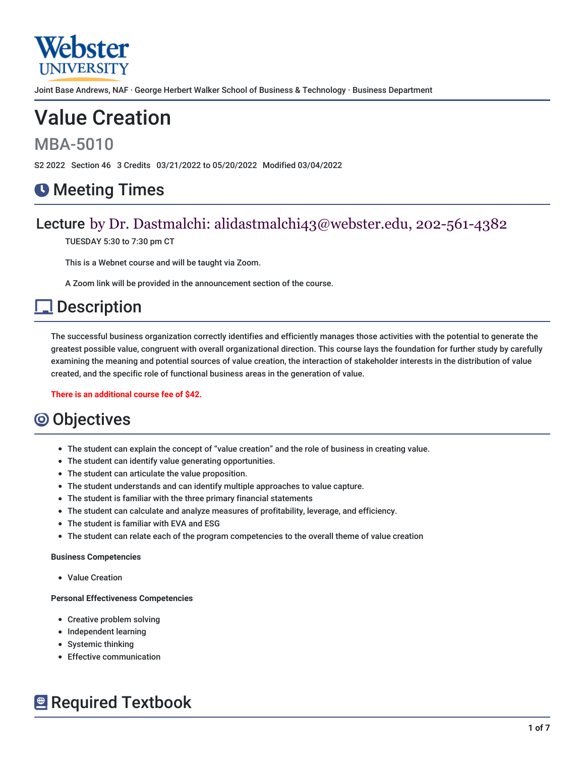

Joint Base Andrews, NAF · George Herbert Walker School of Business & Technology · Business Department

# Value Creation

## MBA-5010

S2 2022 Section 46 3 Credits 03/21/2022 to 05/20/2022 Modified 03/04/2022

## **O** Meeting Times

### Lecture by Dr. Dastmalchi: alidastmalchi43@webster.edu, 202-561-4382

TUESDAY 5:30 to 7:30 pm CT

This is a Webnet course and will be taught via Zoom.

A Zoom link will be provided in the announcement section of the course.

## **Description**

The successful business organization correctly identifies and efficiently manages those activities with the potential to generate the greatest possible value, congruent with overall organizational direction. This course lays the foundation for further study by carefully examining the meaning and potential sources of value creation, the interaction of stakeholder interests in the distribution of value created, and the specific role of functional business areas in the generation of value.

**There is an additional course fee of \$42.**

## **O** Objectives

- The student can explain the concept of "value creation" and the role of business in creating value.
- The student can identify value generating opportunities.
- The student can articulate the value proposition.
- The student understands and can identify multiple approaches to value capture.
- The student is familiar with the three primary financial statements
- The student can calculate and analyze measures of profitability, leverage, and efficiency.
- The student is familiar with EVA and ESG
- The student can relate each of the program competencies to the overall theme of value creation

#### **Business Competencies**

Value Creation

#### **Personal Effectiveness Competencies**

- Creative problem solving
- Independent learning
- Systemic thinking
- Effective communication

## **E** Required Textbook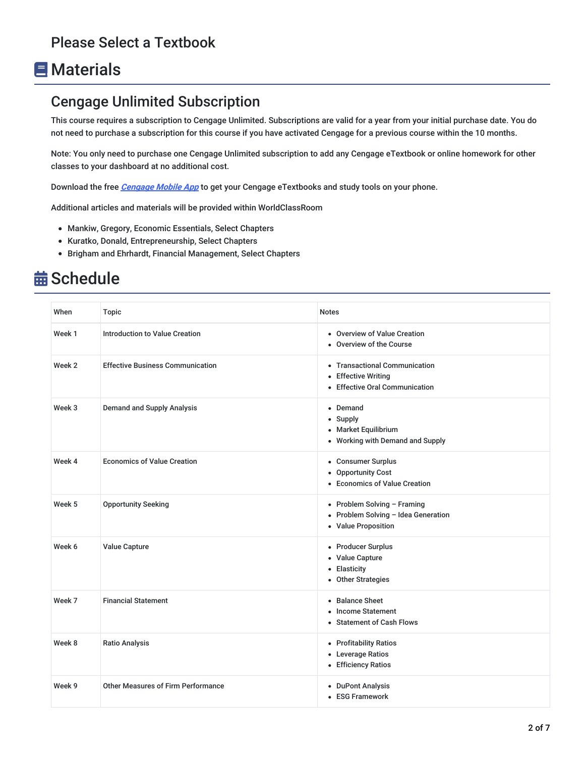## **E** Materials

### Cengage Unlimited Subscription

This course requires a subscription to Cengage Unlimited. Subscriptions are valid for a year from your initial purchase date. You do not need to purchase a subscription for this course if you have activated Cengage for a previous course within the 10 months.

Note: You only need to purchase one Cengage Unlimited subscription to add any Cengage eTextbook or online homework for other classes to your dashboard at no additional cost.

Download the free **[Cengage](https://www.cengage.com/mobile-app/) Mobile App** to get your Cengage eTextbooks and study tools on your phone.

Additional articles and materials will be provided within WorldClassRoom

- Mankiw, Gregory, Economic Essentials, Select Chapters
- Kuratko, Donald, Entrepreneurship, Select Chapters
- Brigham and Ehrhardt, Financial Management, Select Chapters

## **益 Schedule**

| When   | <b>Topic</b>                              | <b>Notes</b>                                                                              |
|--------|-------------------------------------------|-------------------------------------------------------------------------------------------|
| Week 1 | <b>Introduction to Value Creation</b>     | • Overview of Value Creation<br>• Overview of the Course                                  |
| Week 2 | <b>Effective Business Communication</b>   | • Transactional Communication<br>• Effective Writing<br>• Effective Oral Communication    |
| Week 3 | <b>Demand and Supply Analysis</b>         | • Demand<br>• Supply<br>• Market Equilibrium<br>• Working with Demand and Supply          |
| Week 4 | <b>Economics of Value Creation</b>        | • Consumer Surplus<br>• Opportunity Cost<br>• Economics of Value Creation                 |
| Week 5 | <b>Opportunity Seeking</b>                | • Problem Solving - Framing<br>• Problem Solving - Idea Generation<br>• Value Proposition |
| Week 6 | <b>Value Capture</b>                      | • Producer Surplus<br>• Value Capture<br>• Elasticity<br>• Other Strategies               |
| Week 7 | <b>Financial Statement</b>                | • Balance Sheet<br>• Income Statement<br>• Statement of Cash Flows                        |
| Week 8 | <b>Ratio Analysis</b>                     | • Profitability Ratios<br>• Leverage Ratios<br>• Efficiency Ratios                        |
| Week 9 | <b>Other Measures of Firm Performance</b> | • DuPont Analysis<br>• ESG Framework                                                      |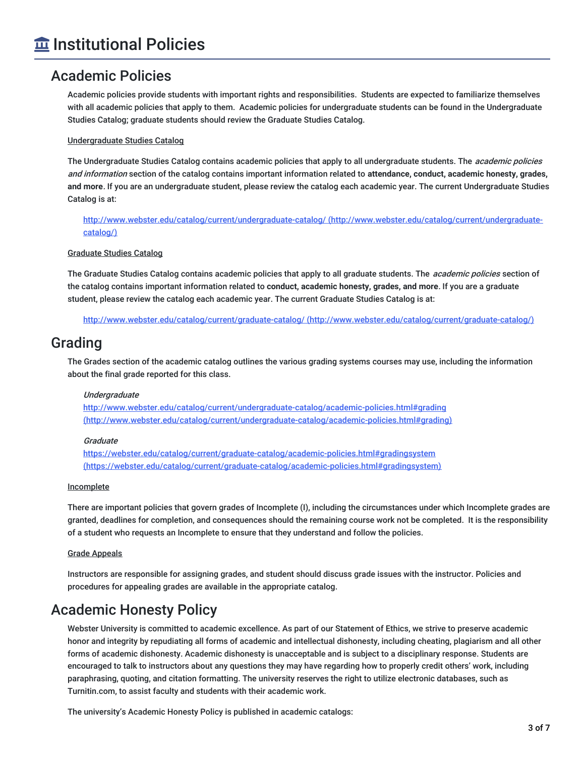### Academic Policies

Academic policies provide students with important rights and responsibilities. Students are expected to familiarize themselves with all academic policies that apply to them. Academic policies for undergraduate students can be found in the Undergraduate Studies Catalog; graduate students should review the Graduate Studies Catalog.

### Undergraduate Studies Catalog

The Undergraduate Studies Catalog contains academic policies that apply to all undergraduate students. The *academic policies* and information section of the catalog contains important information related to **attendance, conduct, academic honesty, grades, and more**. If you are an undergraduate student, please review the catalog each academic year. The current Undergraduate Studies Catalog is at:

<http://www.webster.edu/catalog/current/undergraduate-catalog/> (http://www.webster.edu/catalog/current/undergraduatecatalog/)

### Graduate Studies Catalog

The Graduate Studies Catalog contains academic policies that apply to all graduate students. The *academic policies* section of the catalog contains important information related to **conduct, academic honesty, grades, and more**. If you are a graduate student, please review the catalog each academic year. The current Graduate Studies Catalog is at:

http://www.webster.edu/catalog/current/graduate-catalog/ [\(http://www.webster.edu/catalog/current/graduate-catalog/\)](http://www.webster.edu/catalog/current/graduate-catalog/)

### Grading

The Grades section of the academic catalog outlines the various grading systems courses may use, including the information about the final grade reported for this class.

### Undergraduate

<http://www.webster.edu/catalog/current/undergraduate-catalog/academic-policies.html#grading> (http://www.webster.edu/catalog/current/undergraduate-catalog/academic-policies.html#grading)

### Graduate

<https://webster.edu/catalog/current/graduate-catalog/academic-policies.html#gradingsystem> (https://webster.edu/catalog/current/graduate-catalog/academic-policies.html#gradingsystem)

### Incomplete

There are important policies that govern grades of Incomplete (I), including the circumstances under which Incomplete grades are granted, deadlines for completion, and consequences should the remaining course work not be completed. It is the responsibility of a student who requests an Incomplete to ensure that they understand and follow the policies.

### Grade Appeals

Instructors are responsible for assigning grades, and student should discuss grade issues with the instructor. Policies and procedures for appealing grades are available in the appropriate catalog.

### Academic Honesty Policy

Webster University is committed to academic excellence. As part of our Statement of Ethics, we strive to preserve academic honor and integrity by repudiating all forms of academic and intellectual dishonesty, including cheating, plagiarism and all other forms of academic dishonesty. Academic dishonesty is unacceptable and is subject to a disciplinary response. Students are encouraged to talk to instructors about any questions they may have regarding how to properly credit others' work, including paraphrasing, quoting, and citation formatting. The university reserves the right to utilize electronic databases, such as Turnitin.com, to assist faculty and students with their academic work.

The university's Academic Honesty Policy is published in academic catalogs: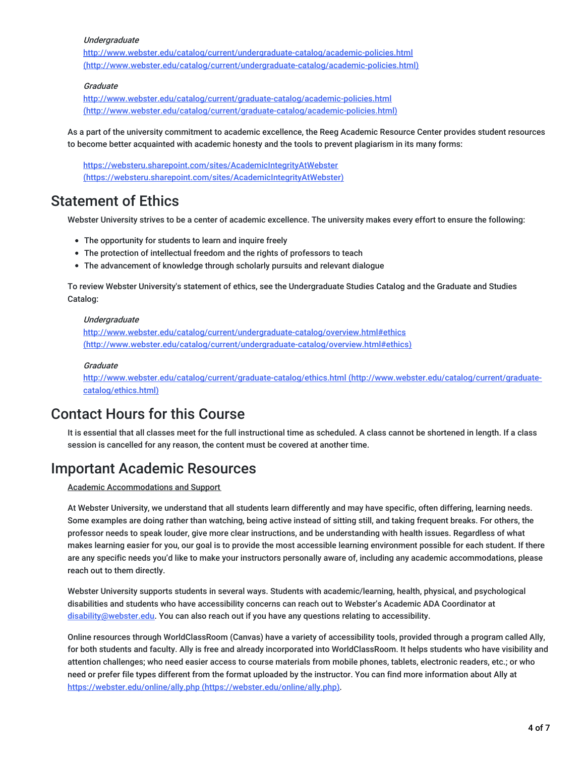#### **Undergraduate**

<http://www.webster.edu/catalog/current/undergraduate-catalog/academic-policies.html> (http://www.webster.edu/catalog/current/undergraduate-catalog/academic-policies.html)

### **Graduate**

http://www.webster.edu/catalog/current/graduate-catalog/academic-policies.html [\(http://www.webster.edu/catalog/current/graduate-catalog/academic-policies.html\)](http://www.webster.edu/catalog/current/graduate-catalog/academic-policies.html)

As a part of the university commitment to academic excellence, the Reeg Academic Resource Center provides student resources to become better acquainted with academic honesty and the tools to prevent plagiarism in its many forms:

<https://websteru.sharepoint.com/sites/AcademicIntegrityAtWebster> (https://websteru.sharepoint.com/sites/AcademicIntegrityAtWebster)

### Statement of Ethics

Webster University strives to be a center of academic excellence. The university makes every effort to ensure the following:

- The opportunity for students to learn and inquire freely
- The protection of intellectual freedom and the rights of professors to teach
- The advancement of knowledge through scholarly pursuits and relevant dialogue

To review Webster University's statement of ethics, see the Undergraduate Studies Catalog and the Graduate and Studies Catalog:

#### Undergraduate

<http://www.webster.edu/catalog/current/undergraduate-catalog/overview.html#ethics> (http://www.webster.edu/catalog/current/undergraduate-catalog/overview.html#ethics)

#### **Graduate**

<http://www.webster.edu/catalog/current/graduate-catalog/ethics.html> (http://www.webster.edu/catalog/current/graduatecatalog/ethics.html)

### Contact Hours for this Course

It is essential that all classes meet for the full instructional time as scheduled. A class cannot be shortened in length. If a class session is cancelled for any reason, the content must be covered at another time.

### Important Academic Resources

Academic Accommodations and Support

At Webster University, we understand that all students learn differently and may have specific, often differing, learning needs. Some examples are doing rather than watching, being active instead of sitting still, and taking frequent breaks. For others, the professor needs to speak louder, give more clear instructions, and be understanding with health issues. Regardless of what makes learning easier for you, our goal is to provide the most accessible learning environment possible for each student. If there are any specific needs you'd like to make your instructors personally aware of, including any academic accommodations, please reach out to them directly.

Webster University supports students in several ways. Students with academic/learning, health, physical, and psychological disabilities and students who have accessibility concerns can reach out to Webster's Academic ADA Coordinator at [disability@webster.edu](mailto:disability@webster.edu). You can also reach out if you have any questions relating to accessibility.

Online resources through WorldClassRoom (Canvas) have a variety of accessibility tools, provided through a program called Ally, for both students and faculty. Ally is free and already incorporated into WorldClassRoom. It helps students who have visibility and attention challenges; who need easier access to course materials from mobile phones, tablets, electronic readers, etc.; or who need or prefer file types different from the format uploaded by the instructor. You can find more information about Ally at https://webster.edu/online/ally.php [\(https://webster.edu/online/ally.php\)](https://webster.edu/online/ally.php).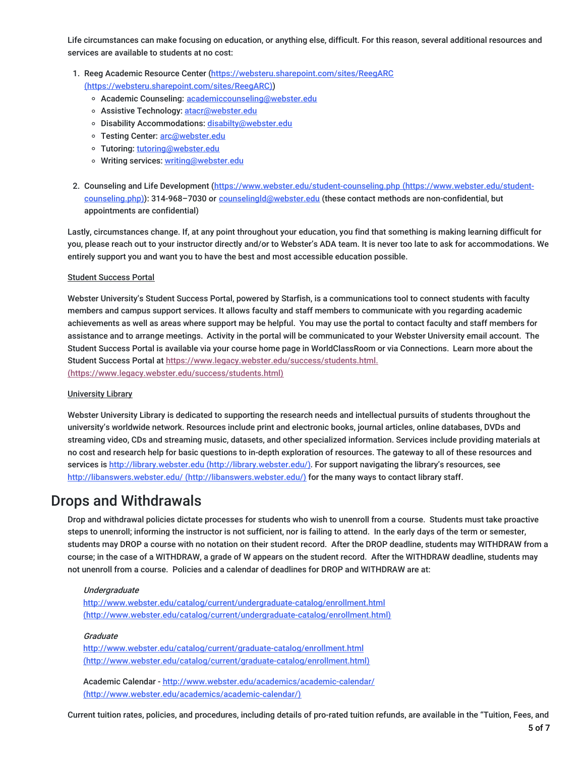Life circumstances can make focusing on education, or anything else, difficult. For this reason, several additional resources and services are available to students at no cost:

- 1. Reeg Academic Resource Center [\(https://websteru.sharepoint.com/sites/ReegARC](https://websteru.sharepoint.com/sites/ReegARC) (https://websteru.sharepoint.com/sites/ReegARC))
	- o Academic Counseling: [academiccounseling@webster.edu](mailto:academiccounseling@webster.edu)
	- o Assistive Technology: [atacr@webster.edu](mailto:atacr@webster.edu)
	- o Disability Accommodations: [disabilty@webster.edu](mailto:disabilty@webster.edu)
	- o Testing Center: [arc@webster.edu](mailto:arc@webster.edu)
	- Tutoring: [tutoring@webster.edu](mailto:tutoring@webster.edu)
	- o Writing services: [writing@webster.edu](mailto:writing@webster.edu)
- 2. Counseling and Life Development [\(https://www.webster.edu/student-counseling.php](https://www.webster.edu/student-counseling.php) (https://www.webster.edu/studentcounseling.php)): 314-968-7030 or [counselingld@webster.edu](mailto:counselingld@webster.edu) (these contact methods are non-confidential, but appointments are confidential)

Lastly, circumstances change. If, at any point throughout your education, you find that something is making learning difficult for you, please reach out to your instructor directly and/or to Webster's ADA team. It is never too late to ask for accommodations. We entirely support you and want you to have the best and most accessible education possible.

#### Student Success Portal

Webster University's Student Success Portal, powered by Starfish, is a communications tool to connect students with faculty members and campus support services. It allows faculty and staff members to communicate with you regarding academic achievements as well as areas where support may be helpful. You may use the portal to contact faculty and staff members for assistance and to arrange meetings. Activity in the portal will be communicated to your Webster University email account. The Student Success Portal is available via your course home page in WorldClassRoom or via Connections. Learn more about the Student Success Portal at [https://www.legacy.webster.edu/success/students.html.](https://www.legacy.webster.edu/success/students.html) (https://www.legacy.webster.edu/success/students.html)

#### University Library

Webster University Library is dedicated to supporting the research needs and intellectual pursuits of students throughout the university's worldwide network. Resources include print and electronic books, journal articles, online databases, DVDs and streaming video, CDs and streaming music, datasets, and other specialized information. Services include providing materials at no cost and research help for basic questions to in-depth exploration of resources. The gateway to all of these resources and services is http://library.webster.edu [\(http://library.webster.edu/\)](http://library.webster.edu/). For support navigating the library's resources, see http://libanswers.webster.edu/ [\(http://libanswers.webster.edu/\)](http://libanswers.webster.edu/) for the many ways to contact library staff.

### Drops and Withdrawals

Drop and withdrawal policies dictate processes for students who wish to unenroll from a course. Students must take proactive steps to unenroll; informing the instructor is not sufficient, nor is failing to attend. In the early days of the term or semester, students may DROP a course with no notation on their student record. After the DROP deadline, students may WITHDRAW from a course; in the case of a WITHDRAW, a grade of W appears on the student record. After the WITHDRAW deadline, students may not unenroll from a course. Policies and a calendar of deadlines for DROP and WITHDRAW are at:

#### **Undergraduate**

http://www.webster.edu/catalog/current/undergraduate-catalog/enrollment.html [\(http://www.webster.edu/catalog/current/undergraduate-catalog/enrollment.html\)](http://www.webster.edu/catalog/current/undergraduate-catalog/enrollment.html)

#### **Graduate**

<http://www.webster.edu/catalog/current/graduate-catalog/enrollment.html> (http://www.webster.edu/catalog/current/graduate-catalog/enrollment.html)

Academic Calendar - <http://www.webster.edu/academics/academic-calendar/> (http://www.webster.edu/academics/academic-calendar/)

Current tuition rates, policies, and procedures, including details of pro-rated tuition refunds, are available in the "Tuition, Fees, and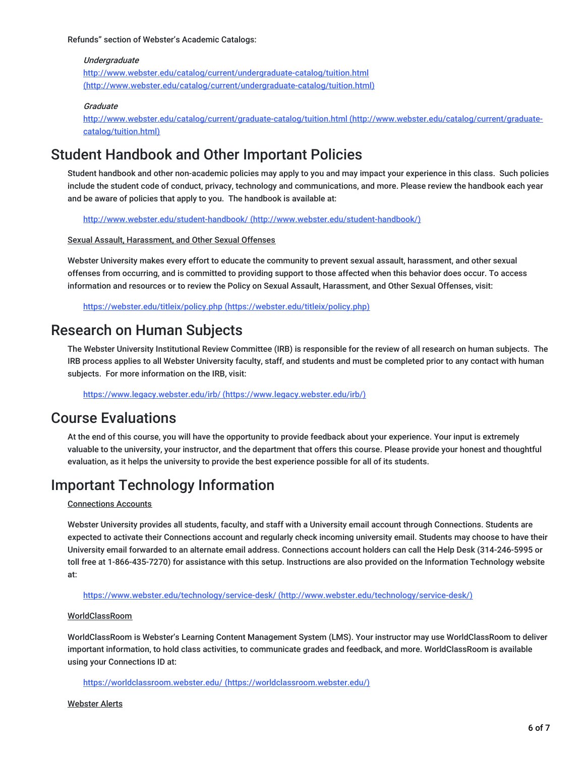Refunds" section of Webster's Academic Catalogs:

#### Undergraduate

<http://www.webster.edu/catalog/current/undergraduate-catalog/tuition.html> (http://www.webster.edu/catalog/current/undergraduate-catalog/tuition.html)

#### **Graduate**

<http://www.webster.edu/catalog/current/graduate-catalog/tuition.html> (http://www.webster.edu/catalog/current/graduatecatalog/tuition.html)

### Student Handbook and Other Important Policies

Student handbook and other non-academic policies may apply to you and may impact your experience in this class. Such policies include the student code of conduct, privacy, technology and communications, and more. Please review the handbook each year and be aware of policies that apply to you. The handbook is available at:

http://www.webster.edu/student-handbook/ [\(http://www.webster.edu/student-handbook/\)](http://www.webster.edu/student-handbook/)

Sexual Assault, Harassment, and Other Sexual Offenses

Webster University makes every effort to educate the community to prevent sexual assault, harassment, and other sexual offenses from occurring, and is committed to providing support to those affected when this behavior does occur. To access information and resources or to review the Policy on Sexual Assault, Harassment, and Other Sexual Offenses, visit:

https://webster.edu/titleix/policy.php [\(https://webster.edu/titleix/policy.php\)](https://webster.edu/titleix/policy.php)

### Research on Human Subjects

The Webster University Institutional Review Committee (IRB) is responsible for the review of all research on human subjects. The IRB process applies to all Webster University faculty, staff, and students and must be completed prior to any contact with human subjects. For more information on the IRB, visit:

https://www.legacy.webster.edu/irb/ [\(https://www.legacy.webster.edu/irb/\)](https://www.legacy.webster.edu/irb/)

### Course Evaluations

At the end of this course, you will have the opportunity to provide feedback about your experience. Your input is extremely valuable to the university, your instructor, and the department that offers this course. Please provide your honest and thoughtful evaluation, as it helps the university to provide the best experience possible for all of its students.

### Important Technology Information

### Connections Accounts

Webster University provides all students, faculty, and staff with a University email account through Connections. Students are expected to activate their Connections account and regularly check incoming university email. Students may choose to have their University email forwarded to an alternate email address. Connections account holders can call the Help Desk (314-246-5995 or toll free at 1-866-435-7270) for assistance with this setup. Instructions are also provided on the Information Technology website at:

https://www.webster.edu/technology/service-desk/ [\(http://www.webster.edu/technology/service-desk/\)](http://www.webster.edu/technology/service-desk/)

#### WorldClassRoom

WorldClassRoom is Webster's Learning Content Management System (LMS). Your instructor may use WorldClassRoom to deliver important information, to hold class activities, to communicate grades and feedback, and more. WorldClassRoom is available using your Connections ID at:

https://worldclassroom.webster.edu/ [\(https://worldclassroom.webster.edu/\)](https://worldclassroom.webster.edu/)

Webster Alerts